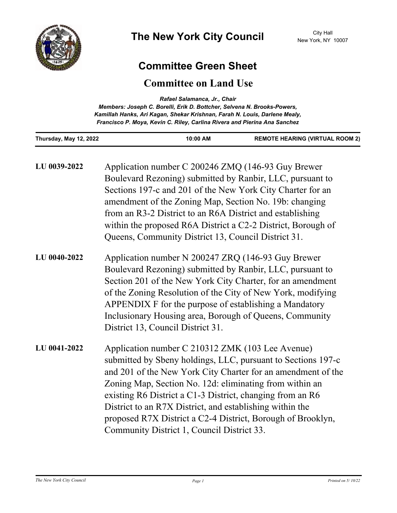

## **Committee Green Sheet**

## **Committee on Land Use**

| Rafael Salamanca, Jr., Chair<br>Members: Joseph C. Borelli, Erik D. Bottcher, Selvena N. Brooks-Powers,<br>Kamillah Hanks, Ari Kagan, Shekar Krishnan, Farah N. Louis, Darlene Mealy,<br>Francisco P. Moya, Kevin C. Riley, Carlina Rivera and Pierina Ana Sanchez |                                                                                                                                                                                                                                                                                                                                                                                                                                                                                   |                                        |
|--------------------------------------------------------------------------------------------------------------------------------------------------------------------------------------------------------------------------------------------------------------------|-----------------------------------------------------------------------------------------------------------------------------------------------------------------------------------------------------------------------------------------------------------------------------------------------------------------------------------------------------------------------------------------------------------------------------------------------------------------------------------|----------------------------------------|
| Thursday, May 12, 2022                                                                                                                                                                                                                                             | 10:00 AM                                                                                                                                                                                                                                                                                                                                                                                                                                                                          | <b>REMOTE HEARING (VIRTUAL ROOM 2)</b> |
| LU 0039-2022                                                                                                                                                                                                                                                       | Application number C 200246 ZMQ (146-93 Guy Brewer<br>Boulevard Rezoning) submitted by Ranbir, LLC, pursuant to<br>Sections 197-c and 201 of the New York City Charter for an<br>amendment of the Zoning Map, Section No. 19b: changing<br>from an R3-2 District to an R6A District and establishing<br>within the proposed R6A District a C2-2 District, Borough of<br>Queens, Community District 13, Council District 31.                                                       |                                        |
| LU 0040-2022                                                                                                                                                                                                                                                       | Application number N 200247 ZRQ (146-93 Guy Brewer<br>Boulevard Rezoning) submitted by Ranbir, LLC, pursuant to<br>Section 201 of the New York City Charter, for an amendment<br>of the Zoning Resolution of the City of New York, modifying<br>APPENDIX F for the purpose of establishing a Mandatory<br>Inclusionary Housing area, Borough of Queens, Community<br>District 13, Council District 31.                                                                            |                                        |
| LU 0041-2022                                                                                                                                                                                                                                                       | Application number C 210312 ZMK (103 Lee Avenue)<br>submitted by Sbeny holdings, LLC, pursuant to Sections 197-c<br>and 201 of the New York City Charter for an amendment of the<br>Zoning Map, Section No. 12d: eliminating from within an<br>existing R6 District a C1-3 District, changing from an R6<br>District to an R7X District, and establishing within the<br>proposed R7X District a C2-4 District, Borough of Brooklyn,<br>Community District 1, Council District 33. |                                        |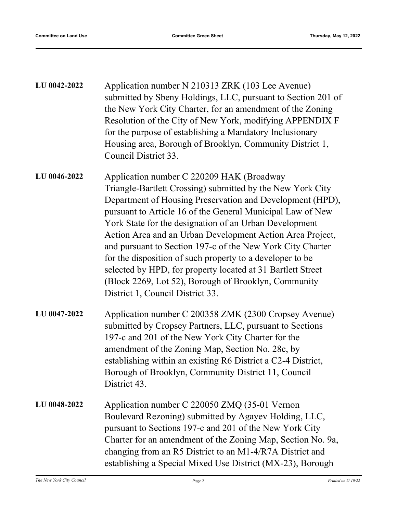| LU 0042-2022 | Application number N 210313 ZRK (103 Lee Avenue)<br>submitted by Sbeny Holdings, LLC, pursuant to Section 201 of<br>the New York City Charter, for an amendment of the Zoning<br>Resolution of the City of New York, modifying APPENDIX F<br>for the purpose of establishing a Mandatory Inclusionary<br>Housing area, Borough of Brooklyn, Community District 1,<br>Council District 33.                                                                                                                                                                                                                                                       |  |
|--------------|-------------------------------------------------------------------------------------------------------------------------------------------------------------------------------------------------------------------------------------------------------------------------------------------------------------------------------------------------------------------------------------------------------------------------------------------------------------------------------------------------------------------------------------------------------------------------------------------------------------------------------------------------|--|
| LU 0046-2022 | Application number C 220209 HAK (Broadway<br>Triangle-Bartlett Crossing) submitted by the New York City<br>Department of Housing Preservation and Development (HPD),<br>pursuant to Article 16 of the General Municipal Law of New<br>York State for the designation of an Urban Development<br>Action Area and an Urban Development Action Area Project,<br>and pursuant to Section 197-c of the New York City Charter<br>for the disposition of such property to a developer to be<br>selected by HPD, for property located at 31 Bartlett Street<br>(Block 2269, Lot 52), Borough of Brooklyn, Community<br>District 1, Council District 33. |  |
| LU 0047-2022 | Application number C 200358 ZMK (2300 Cropsey Avenue)<br>submitted by Cropsey Partners, LLC, pursuant to Sections<br>197-c and 201 of the New York City Charter for the<br>amendment of the Zoning Map, Section No. 28c, by<br>establishing within an existing R6 District a C2-4 District,<br>Borough of Brooklyn, Community District 11, Council<br>District 43.                                                                                                                                                                                                                                                                              |  |
| LU 0048-2022 | Application number C 220050 ZMQ (35-01 Vernon<br>Boulevard Rezoning) submitted by Agayev Holding, LLC,<br>pursuant to Sections 197-c and 201 of the New York City<br>Charter for an amendment of the Zoning Map, Section No. 9a,<br>changing from an R5 District to an M1-4/R7A District and<br>establishing a Special Mixed Use District (MX-23), Borough                                                                                                                                                                                                                                                                                      |  |